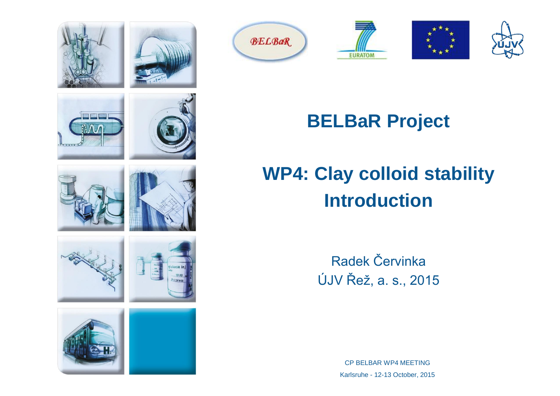

 $\Lambda$ 























## **BELBaR Project**

# **WP4: Clay colloid stability Introduction**

Radek Červinka ÚJV Řež, a. s., 2015

> CP BELBAR WP4 MEETING Karlsruhe - 12-13 October, 2015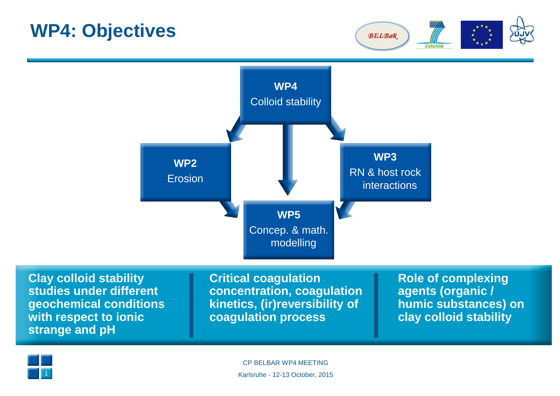

**Clay colloid stability studies under different geochemical conditions with respect to ionic strange and pH**

**Critical coagulation concentration, coagulation kinetics, (ir)reversibility of coagulation process**

**Role of complexing agents (organic / humic substances) on clay colloid stability**

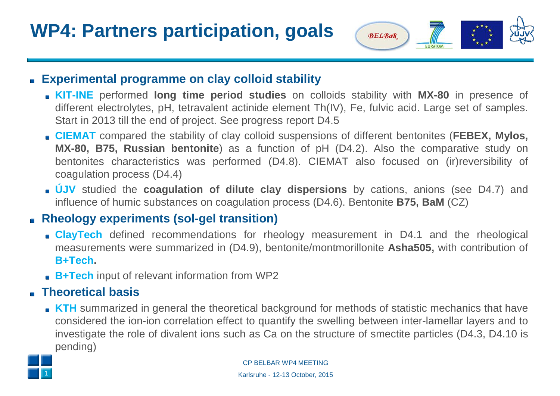

#### **Experimental programme on clay colloid stability**

- **KIT-INE** performed **long time period studies** on colloids stability with **MX-80** in presence of different electrolytes, pH, tetravalent actinide element Th(IV), Fe, fulvic acid. Large set of samples. Start in 2013 till the end of project. See progress report D4.5
- **CIEMAT** compared the stability of clay colloid suspensions of different bentonites (**FEBEX, Mylos, MX-80, B75, Russian bentonite**) as a function of pH (D4.2). Also the comparative study on bentonites characteristics was performed (D4.8). CIEMAT also focused on (ir)reversibility of coagulation process (D4.4)
- **ÚJV** studied the **coagulation of dilute clay dispersions** by cations, anions (see D4.7) and influence of humic substances on coagulation process (D4.6). Bentonite **B75, BaM** (CZ)

### **Rheology experiments (sol-gel transition)**

- **ClayTech** defined recommendations for rheology measurement in D4.1 and the rheological measurements were summarized in (D4.9), bentonite/montmorillonite **Asha505,** with contribution of **B+Tech.**
- **B+Tech** input of relevant information from WP2

### **Theoretical basis**

**KTH** summarized in general the theoretical background for methods of statistic mechanics that have considered the ion-ion correlation effect to quantify the swelling between inter-lamellar layers and to investigate the role of divalent ions such as Ca on the structure of smectite particles (D4.3, D4.10 is pending)



CP BELBAR WP4 MEETING Karlsruhe - 12-13 October, 2015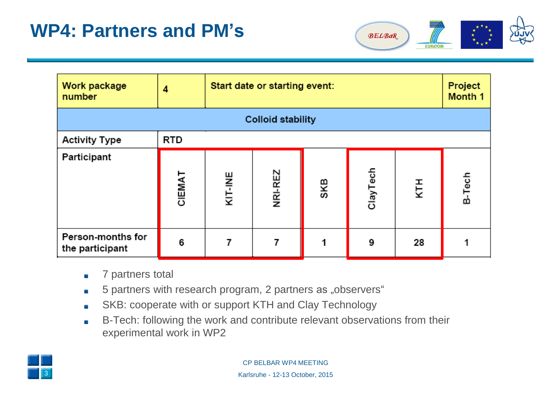

| Work package<br>number               | 4          | Start date or starting event: |         |     |          | Project<br>Month 1 |        |
|--------------------------------------|------------|-------------------------------|---------|-----|----------|--------------------|--------|
| <b>Colloid stability</b>             |            |                               |         |     |          |                    |        |
| <b>Activity Type</b>                 | <b>RTD</b> |                               |         |     |          |                    |        |
| Participant                          | CIEMAT     | KIT-INE                       | NRI-REZ | SKB | ClayTech | KTH                | B-Tech |
| Person-months for<br>the participant | 6          |                               | 7       |     | 9        | 28                 |        |

- 7 partners total  $\blacksquare$
- 5 partners with research program, 2 partners as "observers"  $\overline{\phantom{a}}$
- SKB: cooperate with or support KTH and Clay Technology  $\overline{\phantom{a}}$
- B-Tech: following the work and contribute relevant observations from their  $\overline{\phantom{a}}$ experimental work in WP2

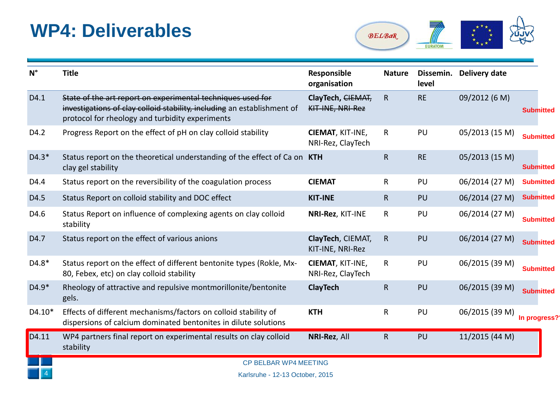### **WP4: Deliverables**



| $N^{\circ}$ | <b>Title</b>                                                                                                                                                                              | Responsible<br>organisation           | <b>Nature</b> | Dissemin.<br>level | Delivery date  |                  |  |
|-------------|-------------------------------------------------------------------------------------------------------------------------------------------------------------------------------------------|---------------------------------------|---------------|--------------------|----------------|------------------|--|
| D4.1        | State of the art report on experimental techniques used for<br>investigations of clay colloid stability, including an establishment of<br>protocol for rheology and turbidity experiments | ClayTech, CIEMAT,<br>KIT-INE, NRI-Rez | $\mathsf{R}$  | <b>RE</b>          | 09/2012 (6 M)  | <b>Submitted</b> |  |
| D4.2        | Progress Report on the effect of pH on clay colloid stability                                                                                                                             | CIEMAT, KIT-INE,<br>NRI-Rez, ClayTech | $\mathsf{R}$  | PU                 | 05/2013 (15 M) | <b>Submitted</b> |  |
| $D4.3*$     | Status report on the theoretical understanding of the effect of Ca on KTH<br>clay gel stability                                                                                           |                                       | $\mathsf{R}$  | <b>RE</b>          | 05/2013 (15 M) | <b>Submitted</b> |  |
| D4.4        | Status report on the reversibility of the coagulation process                                                                                                                             | <b>CIEMAT</b>                         | $\mathsf{R}$  | PU                 | 06/2014 (27 M) | <b>Submitted</b> |  |
| D4.5        | Status Report on colloid stability and DOC effect                                                                                                                                         | <b>KIT-INE</b>                        | $\mathsf{R}$  | PU                 | 06/2014 (27 M) | <b>Submitted</b> |  |
| D4.6        | Status Report on influence of complexing agents on clay colloid<br>stability                                                                                                              | NRI-Rez, KIT-INE                      | $\mathsf{R}$  | PU                 | 06/2014 (27 M) | <b>Submitted</b> |  |
| D4.7        | Status report on the effect of various anions                                                                                                                                             | ClayTech, CIEMAT,<br>KIT-INE, NRI-Rez | $\mathsf{R}$  | PU                 | 06/2014 (27 M) | <b>Submitted</b> |  |
| D4.8*       | Status report on the effect of different bentonite types (Rokle, Mx-<br>80, Febex, etc) on clay colloid stability                                                                         | CIEMAT, KIT-INE,<br>NRI-Rez, ClayTech | $\mathsf{R}$  | PU                 | 06/2015 (39 M) | <b>Submitted</b> |  |
| D4.9*       | Rheology of attractive and repulsive montmorillonite/bentonite<br>gels.                                                                                                                   | <b>ClayTech</b>                       | $\mathsf{R}$  | PU                 | 06/2015 (39 M) | <b>Submitted</b> |  |
| $D4.10*$    | Effects of different mechanisms/factors on colloid stability of<br>dispersions of calcium dominated bentonites in dilute solutions                                                        | <b>KTH</b>                            | $\mathsf R$   | PU                 | 06/2015 (39 M) | In progress?     |  |
| D4.11       | WP4 partners final report on experimental results on clay colloid<br>stability                                                                                                            | NRI-Rez, All                          | $\mathsf R$   | PU                 | 11/2015 (44 M) |                  |  |
|             | <b>CP BELBAR WP4 MEETING</b>                                                                                                                                                              |                                       |               |                    |                |                  |  |
|             | Karlsruhe - 12-13 October 2015                                                                                                                                                            |                                       |               |                    |                |                  |  |

Karlsruhe - 12-13 October, 2015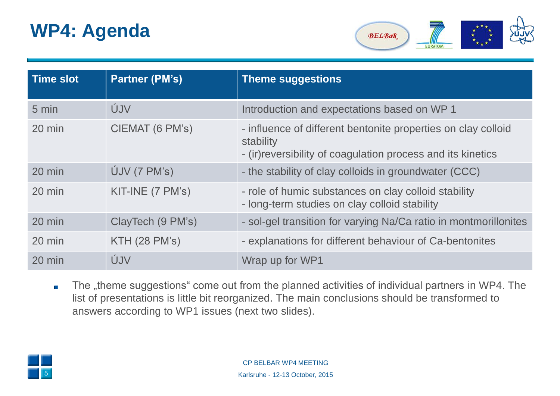## **WP4: Agenda**



| <b>Time slot</b> | <b>Partner (PM's)</b> | <b>Theme suggestions</b>                                                                                                                   |
|------------------|-----------------------|--------------------------------------------------------------------------------------------------------------------------------------------|
| 5 min            | ÚJV                   | Introduction and expectations based on WP 1                                                                                                |
| $20 \text{ min}$ | CIEMAT (6 PM's)       | - influence of different bentonite properties on clay colloid<br>stability<br>- (ir) reversibility of coagulation process and its kinetics |
| 20 min           | $U$ JV (7 PM's)       | - the stability of clay colloids in groundwater (CCC)                                                                                      |
| $20$ min         | KIT-INE (7 PM's)      | - role of humic substances on clay colloid stability<br>- long-term studies on clay colloid stability                                      |
| 20 min           | ClayTech (9 PM's)     | - sol-gel transition for varying Na/Ca ratio in montmorillonites                                                                           |
| $20$ min         | <b>KTH (28 PM's)</b>  | - explanations for different behaviour of Ca-bentonites                                                                                    |
| 20 min           | ÚJV                   | Wrap up for WP1                                                                                                                            |

The "theme suggestions" come out from the planned activities of individual partners in WP4. The  $\blacksquare$ list of presentations is little bit reorganized. The main conclusions should be transformed to answers according to WP1 issues (next two slides).

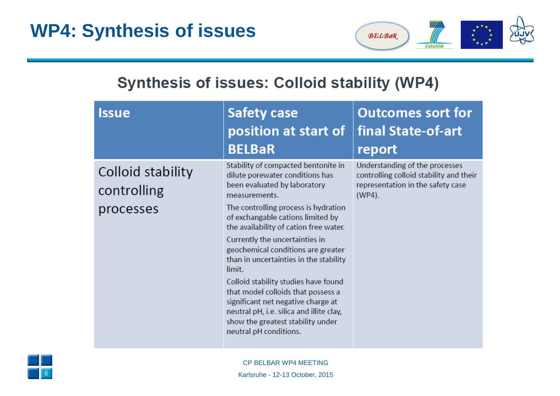

### **Synthesis of issues: Colloid stability (WP4)**

| <b>Issue</b>                                  | <b>Safety case</b><br>position at start of<br><b>BELBaR</b>                                                                                                                                                                                                                                                                                                                                                                                                                                                                                                                                               | <b>Outcomes sort for</b><br>final State-of-art<br>report                                                                 |
|-----------------------------------------------|-----------------------------------------------------------------------------------------------------------------------------------------------------------------------------------------------------------------------------------------------------------------------------------------------------------------------------------------------------------------------------------------------------------------------------------------------------------------------------------------------------------------------------------------------------------------------------------------------------------|--------------------------------------------------------------------------------------------------------------------------|
| Colloid stability<br>controlling<br>processes | Stability of compacted bentonite in<br>dilute porewater conditions has<br>been evaluated by laboratory<br>measurements.<br>The controlling process is hydration<br>of exchangable cations limited by<br>the availability of cation free water.<br>Currently the uncertainties in<br>geochemical conditions are greater<br>than in uncertainties in the stability<br>limit.<br>Colloid stability studies have found<br>that model colloids that possess a<br>significant net negative charge at<br>neutral pH, i.e. silica and illite clay,<br>show the greatest stability under<br>neutral pH conditions. | Understanding of the processes<br>controlling colloid stability and their<br>representation in the safety case<br>(WP4). |

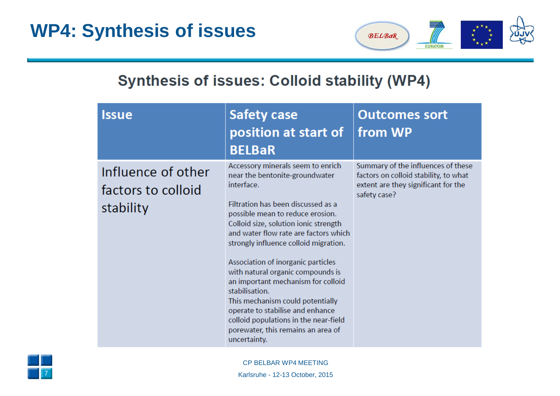

### **Synthesis of issues: Colloid stability (WP4)**

| <b>Issue</b>                                          | <b>Safety case</b><br>position at start of<br><b>BELBaR</b>                                                                                                                                                                                                                                                                                                                                                                                                                                                                                                                                      | <b>Outcomes sort</b><br>from WP                                                                                                    |
|-------------------------------------------------------|--------------------------------------------------------------------------------------------------------------------------------------------------------------------------------------------------------------------------------------------------------------------------------------------------------------------------------------------------------------------------------------------------------------------------------------------------------------------------------------------------------------------------------------------------------------------------------------------------|------------------------------------------------------------------------------------------------------------------------------------|
| Influence of other<br>factors to colloid<br>stability | Accessory minerals seem to enrich<br>near the bentonite-groundwater<br>interface.<br>Filtration has been discussed as a<br>possible mean to reduce erosion.<br>Colloid size, solution ionic strength<br>and water flow rate are factors which<br>strongly influence colloid migration.<br>Association of inorganic particles<br>with natural organic compounds is<br>an important mechanism for colloid<br>stabilisation.<br>This mechanism could potentially<br>operate to stabilise and enhance<br>colloid populations in the near-field<br>porewater, this remains an area of<br>uncertainty. | Summary of the influences of these<br>factors on colloid stability, to what<br>extent are they significant for the<br>safety case? |

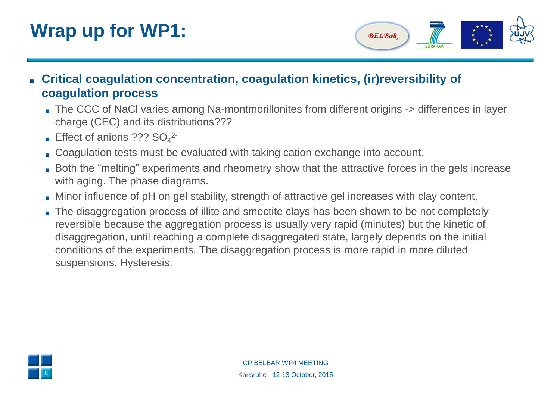## **Wrap up for WP1:**



- **Critical coagulation concentration, coagulation kinetics, (ir)reversibility of coagulation process**
	- The CCC of NaCl varies among Na-montmorillonites from different origins -> differences in layer charge (CEC) and its distributions???
	- Effect of anions  $?$ ?? SO<sub>4</sub><sup>2-</sup>
	- Coagulation tests must be evaluated with taking cation exchange into account.
	- **Both the "melting" experiments and rheometry show that the attractive forces in the gels increase** with aging. The phase diagrams.
	- Minor influence of pH on gel stability, strength of attractive gel increases with clay content,
	- The disaggregation process of illite and smectite clays has been shown to be not completely reversible because the aggregation process is usually very rapid (minutes) but the kinetic of disaggregation, until reaching a complete disaggregated state, largely depends on the initial conditions of the experiments. The disaggregation process is more rapid in more diluted suspensions. Hysteresis.

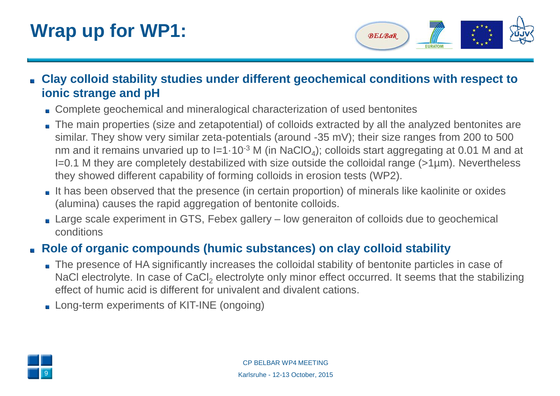## **Wrap up for WP1:**



- **Clay colloid stability studies under different geochemical conditions with respect to ionic strange and pH**
	- Complete geochemical and mineralogical characterization of used bentonites
	- The main properties (size and zetapotential) of colloids extracted by all the analyzed bentonites are similar. They show very similar zeta-potentials (around -35 mV); their size ranges from 200 to 500 nm and it remains unvaried up to I=1 $\cdot$ 10<sup>-3</sup> M (in NaClO<sub>4</sub>); colloids start aggregating at 0.01 M and at I=0.1 M they are completely destabilized with size outside the colloidal range (>1µm). Nevertheless they showed different capability of forming colloids in erosion tests (WP2).
	- It has been observed that the presence (in certain proportion) of minerals like kaolinite or oxides (alumina) causes the rapid aggregation of bentonite colloids.
	- Large scale experiment in GTS, Febex gallery low generaiton of colloids due to geochemical conditions

### **Role of organic compounds (humic substances) on clay colloid stability**

- The presence of HA significantly increases the colloidal stability of bentonite particles in case of NaCl electrolyte. In case of CaCl<sub>2</sub> electrolyte only minor effect occurred. It seems that the stabilizing effect of humic acid is different for univalent and divalent cations.
- **Long-term experiments of KIT-INE (ongoing)**